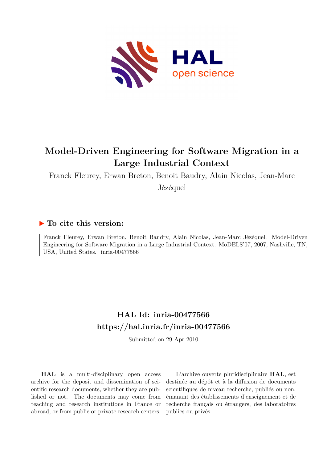

# **Model-Driven Engineering for Software Migration in a Large Industrial Context**

Franck Fleurey, Erwan Breton, Benoit Baudry, Alain Nicolas, Jean-Marc

Jézéquel

## **To cite this version:**

Franck Fleurey, Erwan Breton, Benoit Baudry, Alain Nicolas, Jean-Marc Jézéquel. Model-Driven Engineering for Software Migration in a Large Industrial Context. MoDELS'07, 2007, Nashville, TN, USA, United States. inria-00477566

# **HAL Id: inria-00477566 <https://hal.inria.fr/inria-00477566>**

Submitted on 29 Apr 2010

**HAL** is a multi-disciplinary open access archive for the deposit and dissemination of scientific research documents, whether they are published or not. The documents may come from teaching and research institutions in France or abroad, or from public or private research centers.

L'archive ouverte pluridisciplinaire **HAL**, est destinée au dépôt et à la diffusion de documents scientifiques de niveau recherche, publiés ou non, émanant des établissements d'enseignement et de recherche français ou étrangers, des laboratoires publics ou privés.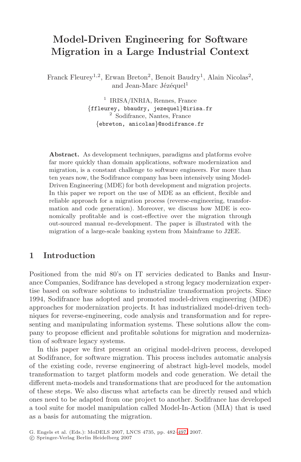## **Model-Driven Engineering for Software Migration in a Large Industrial Context**

Franck Fleurey<sup>1,2</sup>, Erwan Breton<sup>2</sup>, Benoit Baudry<sup>1</sup>, Alain Nicolas<sup>2</sup>, and Jean-Marc Jézéquel<sup>1</sup>

> <sup>1</sup> IRISA/INRIA, Rennes, France *{*ffleurey, bbaudry, jezequel*}*@irisa.fr <sup>2</sup> Sodifrance, Nantes, France *{*ebreton, anicolas*}*@sodifrance.fr

**Abstract.** As development techniques, paradigms and platforms evolve far more quickly than domain applications, software modernization and migration, is a constant challenge to software engineers. For more than ten years now, the Sodifrance company has been intensively using Model-Driven Engineering (MDE) for both development and migration projects. In this paper we report on the use of MDE as an efficient, flexible and reliable approach for a migration process (reverse-engineering, transformation and code generation). Moreover, we discuss how MDE is economically profitable and is cost-effective over the migration through out-sourced manual re-development. The paper is illustrated with the migration of a large-scale banking system from Mainframe to J2EE.

#### **1 Introduction**

Positioned from the mid 80's on IT servicies dedicated to Banks and Insurance Companies, Sodifrance has developed a strong legacy modernization expertise based on software solutions to industrialize transformation projects. Since 1994, Sodifrance has adopted and promoted model-driven engineering (MDE) approaches for modernization projects. It has industrialized model-driven techniques for reverse-engineering, code analysis and transformation and for representing and manipulating information systems. These solutions allow the company to propose efficient and profitable solutions for migration and modernization of software legacy systems.

In this paper we first present an original model-driven process, developed at Sodifrance, for software migration. This process includes automatic analysis of the existing code, reverse engineering of abstract high-level models, model transformation to target platform models and code generation. We detail the different meta-models and transformations that are produced for the automation of these steps. We also discuss what artefacts can be directly reused and which ones need to be adapted from one project to another. Sodifrance has developed a tool suite for model manipulation called Model-In-Action (MIA) that is used as a basis for automating the migration.

G. Engels et al. (Eds.): MoDELS 2007, LNCS 4735, pp. 482[–497,](#page-16-0) 2007.

<sup>-</sup>c Springer-Verlag Berlin Heidelberg 2007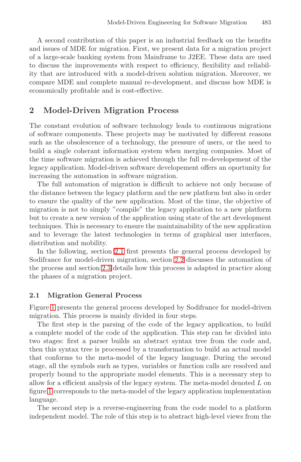A second contribution of this paper is an industrial feedback on the benefits and issues of MDE for migration. First, we present data for a migration project of a large-scale banking system from Mainframe to J2EE. These data are used to discuss the improvements with respect to efficiency, flexibility and reliability that are introduced with a model-driven solution migration. Moreover, we compare MDE and complete manual re-development, and discuss how MDE is economically profitable and is cost-effective.

### **2 Model-Driven Migration Process**

The constant evolution of software technology leads to continuous migrations of software components. These projects may be motivated by different reasons such as the obsolescence of a technology, the pressure of users, or the need to build a single coherant information system when merging companies. Most of the time software migration is achieved through the full re-developement of the legacy application. Model-driven software developement offers an oportunity for increasing the automation in software migration.

The full automation of migration is difficult to achieve not only because of the distance between the legacy platform and the new platform but also in order to ensure the quality of the new application. Most of the time, the objective of migration is not to simply "compile" the legacy application to a new platform but to create a new version of the application using state of the art development techniques. This is necessary to ensure the maintainability of the new application and to leverage the latest technologies in terms of graphical user interfaces, distribution and mobility.

In the following, section 2.1 first presents the general process developed by Sodifrance for model-driven migration, section 2.2 discusses the automation of the process and section 2.3 details how this process is adapted in practice along the phases of a migration project.

#### **2.1 Migration General Process**

Figure 1 presents the general process developed by Sodifrance for model-driven migration. This process is mainly divided in four steps.

The first step is the parsing of the code of the legacy application, to build a complete model of the code of the application. This step can be divided into two stages: first a parser builds an abstract syntax tree from the code and, then this syntax tree is processed by a transformation to build an actual model that conforms to the meta-model of the legacy language. During the second stage, all the symbols such as types, variables or function calls are resolved and properly bound to the appropriate model elements. This is a necessary step to allow for a efficient analysis of the legacy system. The meta-model denoted *L* on figure 1 corresponds to the meta-model of the legacy application implementation language.

The second step is a reverse-engineering from the code model to a platform independent model. The role of this step is to abstract high-level views from the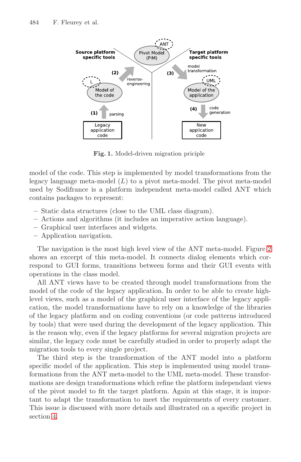

**Fig. 1.** Model-driven migration priciple

model of the code. This step is implemented by model transformations from the legacy language meta-model (*L*) to a pivot meta-model. The pivot meta-model used by Sodifrance is a platform independent meta-model called ANT which contains packages to represent:

- **–** Static data structures (close to the UML class diagram).
- **–** Actions and algorithms (it includes an imperative action language).
- **–** Graphical user interfaces and widgets.
- **–** Application navigation.

The navigation is the most high level view of the ANT meta-model. Figure 2 shows an excerpt of this meta-model. It connects dialog elements which correspond to GUI forms, transitions between forms and their GUI events with operations in the class model.

All ANT views have to be created through model transformations from the model of the code of the legacy application. In order to be able to create highlevel views, such as a model of the graphical user interface of the legacy application, the model transformations have to rely on a knowledge of the libraries of the legacy platform and on coding conventions (or code patterns introduced by tools) that were used during the development of the legacy application. This is the reason why, even if the legacy platforms for several migration projects are similar, the legacy code must be carefully studied in order to properly adapt the migration tools to every single project.

The third step is the transformation of the ANT model into a platform specific model of the application. This step is implemented using model transformations from the ANT meta-model to the UML meta-model. These transformations are design transformations which refine the platform independant views of the pivot model to fit the target platform. Again at this stage, it is important to adapt the transformation to meet the requirements of every customer. This issue is discussed with more details and illustrated on a specific project in section 4.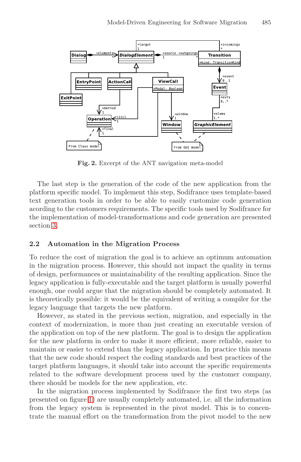

**Fig. 2.** Excerpt of the ANT navigation meta-model

The last step is the generation of the code of the new application from the platform specific model. To implement this step, Sodifrance uses template-based text generation tools in order to be able to easily customize code generation acording to the customers requirements. The specific tools used by Sodifrance for the implementation of model-transformations and code generation are presented section 3.

#### **2.2 Automation in the Migration Process**

To reduce the cost of migration the goal is to achieve an optimum automation in the migration process. However, this should not impact the quality in terms of design, performances or maintainability of the resulting application. Since the legacy application is fully-executable and the target platform is usually powerful enough, one could argue that the migration should be completely automated. It is theoretically possible: it would be the equivalent of writing a compiler for the legacy language that targets the new platform.

However, as stated in the previous section, migration, and especially in the context of modernization, is more than just creating an executable version of the application on top of the new platform. The goal is to design the application for the new platform in order to make it more efficient, more reliable, easier to maintain or easier to extend than the legacy application. In practice this means that the new code should respect the coding standards and best practices of the target platform languages, it should take into account the specific requirements related to the software development process used by the customer company, there should be models for the new application, etc.

In the migration process implemented by Sodifrance the first two steps (as presented on figure 1) are usually completely automated, i.e. all the information from the legacy system is represented in the pivot model. This is to concentrate the manual effort on the transformation from the pivot model to the new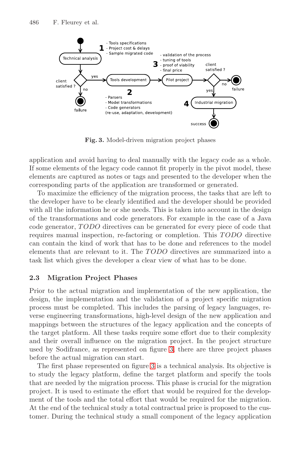

**Fig. 3.** Model-driven migration project phases

application and avoid having to deal manually with the legacy code as a whole. If some elements of the legacy code cannot fit properly in the pivot model, these elements are captured as notes or tags and presented to the developer when the corresponding parts of the application are transformed or generated.

To maximize the efficiency of the migration process, the tasks that are left to the developer have to be clearly identified and the developer should be provided with all the information he or she needs. This is taken into account in the design of the transformations and code generators. For example in the case of a Java code generator, *T ODO* directives can be generated for every piece of code that requires manual inspection, re-factoring or completion. This *T ODO* directive can contain the kind of work that has to be done and references to the model elements that are relevant to it. The *T ODO* directives are summarized into a task list which gives the developer a clear view of what has to be done.

#### **2.3 Migration Project Phases**

Prior to the actual migration and implementation of the new application, the design, the implementation and the validation of a project specific migration process must be completed. This includes the parsing of legacy languages, reverse engineering transformations, high-level design of the new application and mappings between the structures of the legacy application and the concepts of the target platform. All these tasks require some effort due to their complexity and their overall influence on the migration project. In the project structure used by Sodifrance, as represented on figure 3, there are three project phases before the actual migration can start.

The first phase represented on figure 3 is a technical analysis. Its objective is to study the legacy platform, define the target platform and specify the tools that are needed by the migration process. This phase is crucial for the migration project. It is used to estimate the effort that would be required for the development of the tools and the total effort that would be required for the migration. At the end of the technical study a total contractual price is proposed to the customer. During the technical study a small component of the legacy application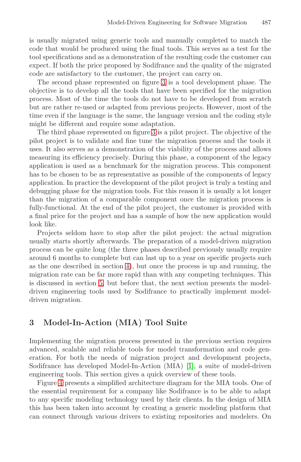is usually migrated using generic tools and manually completed to match the code that would be produced using the final tools. This serves as a test for the tool specifications and as a demonstration of the resulting code the customer can expect. If both the price proposed by Sodifrance and the quality of the migrated code are satisfactory to the customer, the project can carry on.

The second phase represented on figure 3 is a tool development phase. The objective is to develop all the tools that have been specified for the migration process. Most of the time the tools do not have to be developed from scratch but are rather re-used or adapted from previous projects. However, most of the time even if the language is the same, the language version and the coding style might be different and require some adaptation.

The third phase represented on figure 3 is a pilot project. The objective of the pilot project is to validate and fine tune the migration process and the tools it uses. It also serves as a demonstration of the viability of the process and allows measuring its efficiency precisely. During this phase, a component of the legacy application is used as a benchmark for the migration process. This component has to be chosen to be as representative as possible of the components of legacy application. In practice the development of the pilot project is truly a testing and debugging phase for the migration tools. For this reason it is usually a lot longer than the migration of a comparable component once the migration process is fully-functional. At the end of the pilot project, the customer is provided with a final price for the project and has a sample of how the new application would look like.

Projects seldom have to stop after the pilot project: the actual migration usually starts shortly afterwards. The preparation of a model-driven migration process can be quite long (the three phases described previously usually require around 6 months to complete but can last up to a year on specific projects such as the one described in section 4), but once the process is up and running, the migration rate can be far more rapid than with any competing techniques. This is discussed in section 5, but before that, the next section presents the modeldriven engineering tools used by Sodifrance to practically implement modeldriven migration.

## **3 Model-In-Action (MIA) Tool Suite**

Implementing the migration process presented in the previous section requires advanced, scalable and reliable tools for model transformation and code generation. For both the needs of migration project and development projects, Sodifrance has developed Model-In-Action (MIA) [1], a suite of model-driven engineering tools. This section gives a quick overview of these tools.

Figure 4 presents a simplified architecture diagram for the MIA tools. One of the essential requirement for a company like Sodifrance is to be able to adapt to any specific modeling technology used by their clients. In the design of MIA this has been taken into account by creating a generic modeling platform that can connect through various drivers to existing repositories and modelers. On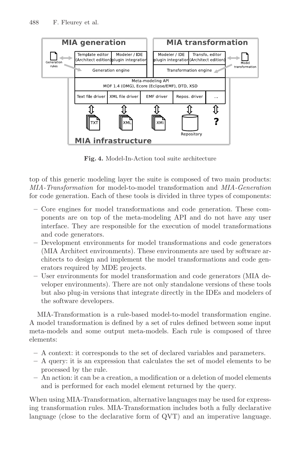

**Fig. 4.** Model-In-Action tool suite architecture

top of this generic modeling layer the suite is composed of two main products: *MIA-Transformation* for model-to-model transformation and *MIA-Generation* for code generation. Each of these tools is divided in three types of components:

- **–** Core engines for model transformations and code generation. These components are on top of the meta-modeling API and do not have any user interface. They are responsible for the execution of model transformations and code generators.
- **–** Development environments for model transformations and code generators (MIA Architect environments). These environments are used by software architects to design and implement the model transformations and code generators required by MDE projects.
- **–** User environments for model transformation and code generators (MIA developer environments). There are not only standalone versions of these tools but also plug-in versions that integrate directly in the IDEs and modelers of the software developers.

MIA-Transformation is a rule-based model-to-model transformation engine. A model transformation is defined by a set of rules defined between some input meta-models and some output meta-models. Each rule is composed of three elements:

- **–** A context: it corresponds to the set of declared variables and parameters.
- **–** A query: it is an expression that calculates the set of model elements to be processed by the rule.
- **–** An action: it can be a creation, a modification or a deletion of model elements and is performed for each model element returned by the query.

When using MIA-Transformation, alternative languages may be used for expressing transformation rules. MIA-Transformation includes both a fully declarative language (close to the declarative form of QVT) and an imperative language.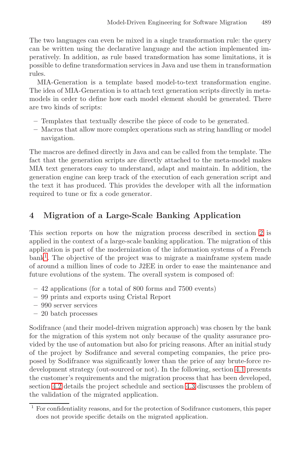The two languages can even be mixed in a single transformation rule: the query can be written using the declarative language and the action implemented imperatively. In addition, as rule based transformation has some limitations, it is possible to define transformation services in Java and use them in transformation rules.

MIA-Generation is a template based model-to-text transformation engine. The idea of MIA-Generation is to attach text generation scripts directly in metamodels in order to define how each model element should be generated. There are two kinds of scripts:

- **–** Templates that textually describe the piece of code to be generated.
- **–** Macros that allow more complex operations such as string handling or model navigation.

The macros are defined directly in Java and can be called from the template. The fact that the generation scripts are directly attached to the meta-model makes MIA text generators easy to understand, adapt and maintain. In addition, the generation engine can keep track of the execution of each generation script and the text it has produced. This provides the developer with all the information required to tune or fix a code generator.

## **4 Migration of a Large-Scale Banking Application**

This section reports on how the migration process described in section 2 is applied in the context of a large-scale banking application. The migration of this application is part of the modernization of the information systems of a French  $\text{bank}^1$ . The objective of the project was to migrate a mainframe system made of around a million lines of code to J2EE in order to ease the maintenance and future evolutions of the system. The overall system is composed of:

- **–** 42 applications (for a total of 800 forms and 7500 events)
- **–** 99 prints and exports using Cristal Report
- **–** 990 server services
- **–** 20 batch processes

Sodifrance (and their model-driven migration approach) was chosen by the bank for the migration of this system not only because of the quality assurance provided by the use of automation but also for pricing reasons. After an initial study of the project by Sodifrance and several competing companies, the price proposed by Sodifrance was significantly lower than the price of any brute-force redevelopment strategy (out-sourced or not). In the following, section 4.1 presents the customer's requirements and the migration process that has been developed, section 4.2 details the project schedule and section 4.3 discusses the problem of the validation of the migrated application.

<sup>1</sup> For confidentiality reasons, and for the protection of Sodifrance customers, this paper does not provide specific details on the migrated application.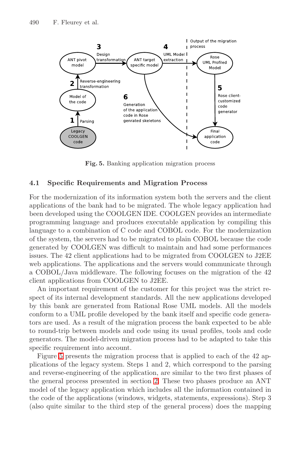

**Fig. 5.** Banking application migration process

#### **4.1 Specific Requirements and Migration Process**

For the modernization of its information system both the servers and the client applications of the bank had to be migrated. The whole legacy application had been developed using the COOLGEN IDE. COOLGEN provides an intermediate programming language and produces executable application by compiling this language to a combination of C code and COBOL code. For the modernization of the system, the servers had to be migrated to plain COBOL because the code generated by COOLGEN was difficult to maintain and had some performances issues. The 42 client applications had to be migrated from COOLGEN to J2EE web applications. The applications and the servers would communicate through a COBOL/Java middleware. The following focuses on the migration of the 42 client applications from COOLGEN to J2EE.

An important requirement of the customer for this project was the strict respect of its internal development standards. All the new applications developed by this bank are generated from Rational Rose UML models. All the models conform to a UML profile developed by the bank itself and specific code generators are used. As a result of the migration process the bank expected to be able to round-trip between models and code using its usual profiles, tools and code generators. The model-driven migration process had to be adapted to take this specific requirement into account.

Figure 5 presents the migration process that is applied to each of the 42 applications of the legacy system. Steps 1 and 2, which correspond to the parsing and reverse-engineering of the application, are similar to the two first phases of the general process presented in section 2. These two phases produce an ANT model of the legacy application which includes all the information contained in the code of the applications (windows, widgets, statements, expressions). Step 3 (also quite similar to the third step of the general process) does the mapping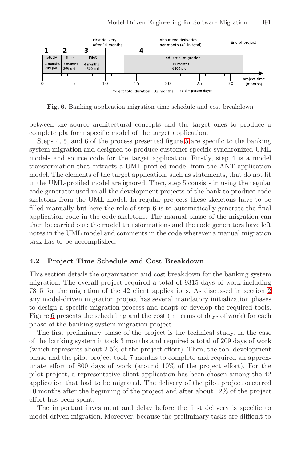

**Fig. 6.** Banking application migration time schedule and cost breakdown

between the source architectural concepts and the target ones to produce a complete platform specific model of the target application.

Steps 4, 5, and 6 of the process presented figure 5 are specific to the banking system migration and designed to produce customer-specific synchronized UML models and source code for the target application. Firstly, step 4 is a model transformation that extracts a UML-profiled model from the ANT application model. The elements of the target application, such as statements, that do not fit in the UML-profiled model are ignored. Then, step 5 consists in using the regular code generator used in all the development projects of the bank to produce code skeletons from the UML model. In regular projects these skeletons have to be filled manually but here the role of step 6 is to automatically generate the final application code in the code skeletons. The manual phase of the migration can then be carried out: the model transformations and the code generators have left notes in the UML model and comments in the code wherever a manual migration task has to be accomplished.

#### **4.2 Project Time Schedule and Cost Breakdown**

This section details the organization and cost breakdown for the banking system migration. The overall project required a total of 9315 days of work including 7815 for the migration of the 42 client applications. As discussed in section 2 any model-driven migration project has several mandatory initialization phases to design a specific migration process and adapt or develop the required tools. Figure 6 presents the scheduling and the cost (in terms of days of work) for each phase of the banking system migration project.

The first preliminary phase of the project is the technical study. In the case of the banking system it took 3 months and required a total of 209 days of work (which represents about 2.5% of the project effort). Then, the tool development phase and the pilot project took 7 months to complete and required an approximate effort of 800 days of work (around 10% of the project effort). For the pilot project, a representative client application has been chosen among the 42 application that had to be migrated. The delivery of the pilot project occurred 10 months after the beginning of the project and after about 12% of the project effort has been spent.

The important investment and delay before the first delivery is specific to model-driven migration. Moreover, because the preliminary tasks are difficult to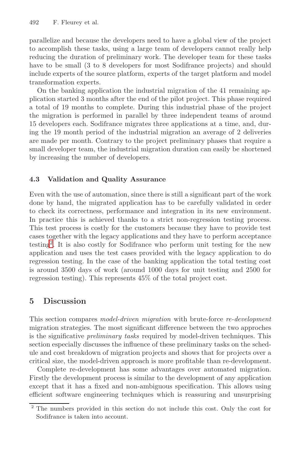parallelize and because the developers need to have a global view of the project to accomplish these tasks, using a large team of developers cannot really help reducing the duration of preliminary work. The developer team for these tasks have to be small (3 to 8 developers for most Sodifrance projects) and should include experts of the source platform, experts of the target platform and model transformation experts.

On the banking application the industrial migration of the 41 remaining application started 3 months after the end of the pilot project. This phase required a total of 19 months to complete. During this industrial phase of the project the migration is performed in parallel by three independent teams of around 15 developers each. Sodifrance migrates three applications at a time, and, during the 19 month period of the industrial migration an average of 2 deliveries are made per month. Contrary to the project preliminary phases that require a small developer team, the industrial migration duration can easily be shortened by increasing the number of developers.

#### **4.3 Validation and Quality Assurance**

Even with the use of automation, since there is still a significant part of the work done by hand, the migrated application has to be carefully validated in order to check its correctness, performance and integration in its new environment. In practice this is achieved thanks to a strict non-regression testing process. This test process is costly for the customers because they have to provide test cases together with the legacy applications and they have to perform acceptance testing<sup>2</sup>. It is also costly for Sodifrance who perform unit testing for the new application and uses the test cases provided with the legacy application to do regression testing. In the case of the banking application the total testing cost is around 3500 days of work (around 1000 days for unit testing and 2500 for regression testing). This represents 45% of the total project cost.

## **5 Discussion**

This section compares *model-driven migration* with brute-force *re-development* migration strategies. The most significant difference between the two approches is the significative *preliminary tasks* required by model-driven techniques. This section especially discusses the influence of these preliminary tasks on the schedule and cost breakdown of migration projects and shows that for projects over a critical size, the model-driven approach is more profitable than re-development.

Complete re-development has some advantages over automated migration. Firstly the development process is similar to the development of any application except that it has a fixed and non-ambiguous specification. This allows using efficient software engineering techniques which is reassuring and unsurprising

<sup>2</sup> The numbers provided in this section do not include this cost. Only the cost for Sodifrance is taken into account.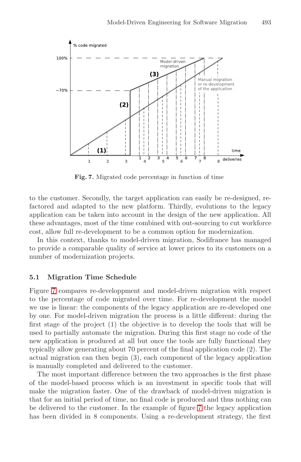

**Fig. 7.** Migrated code percentage in function of time

to the customer. Secondly, the target application can easily be re-designed, refactored and adapted to the new platform. Thirdly, evolutions to the legacy application can be taken into account in the design of the new application. All these advantages, most of the time combined with out-sourcing to cut workforce cost, allow full re-development to be a common option for modernization.

In this context, thanks to model-driven migration, Sodifrance has managed to provide a comparable quality of service at lower prices to its customers on a number of modernization projects.

#### **5.1 Migration Time Schedule**

Figure 7 compares re-developpment and model-driven migration with respect to the percentage of code migrated over time. For re-development the model we use is linear: the components of the legacy application are re-developed one by one. For model-driven migration the process is a little different: during the first stage of the project (1) the objective is to develop the tools that will be used to partially automate the migration. During this first stage no code of the new application is produced at all but once the tools are fully functional they typically allow generating about 70 percent of the final application code (2). The actual migration can then begin (3), each component of the legacy application is manually completed and delivered to the customer.

The most important difference between the two approaches is the first phase of the model-based process which is an investment in specific tools that will make the migration faster. One of the drawback of model-driven migration is that for an initial period of time, no final code is produced and thus nothing can be delivered to the customer. In the example of figure 7 the legacy application has been divided in 8 components. Using a re-development strategy, the first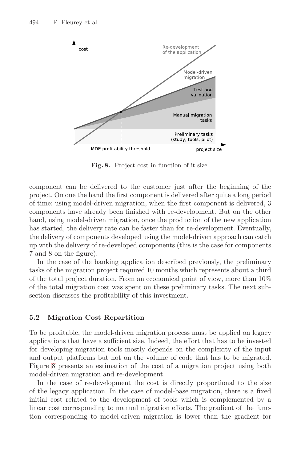

**Fig. 8.** Project cost in function of it size

component can be delivered to the customer just after the beginning of the project. On one the hand the first component is delivered after quite a long period of time: using model-driven migration, when the first component is delivered, 3 components have already been finished with re-development. But on the other hand, using model-driven migration, once the production of the new application has started, the delivery rate can be faster than for re-development. Eventually, the delivery of components developed using the model-driven approach can catch up with the delivery of re-developed components (this is the case for components 7 and 8 on the figure).

In the case of the banking application described previously, the preliminary tasks of the migration project required 10 months which represents about a third of the total project duration. From an economical point of view, more than 10% of the total migration cost was spent on these preliminary tasks. The next subsection discusses the profitability of this investment.

#### **5.2 Migration Cost Repartition**

To be profitable, the model-driven migration process must be applied on legacy applications that have a sufficient size. Indeed, the effort that has to be invested for developing migration tools mostly depends on the complexity of the input and output platforms but not on the volume of code that has to be migrated. Figure 8 presents an estimation of the cost of a migration project using both model-driven migration and re-development.

In the case of re-development the cost is directly proportional to the size of the legacy application. In the case of model-base migration, there is a fixed initial cost related to the development of tools which is complemented by a linear cost corresponding to manual migration efforts. The gradient of the function corresponding to model-driven migration is lower than the gradient for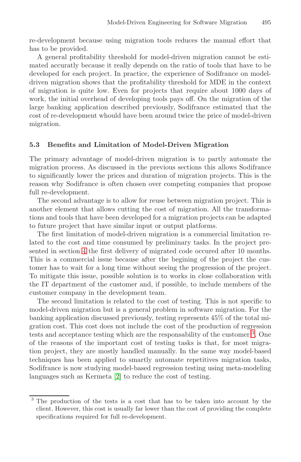re-development because using migration tools reduces the manual effort that has to be provided.

A general profitability threshold for model-driven migration cannot be estimated accuratly because it really depends on the ratio of tools that have to be developed for each project. In practice, the experience of Sodifrance on modeldriven migration shows that the profitability threshold for MDE in the context of migration is quite low. Even for projects that require about 1000 days of work, the initial overhead of developing tools pays off. On the migration of the large banking application described previously, Sodifrance estimated that the cost of re-development whould have been around twice the price of model-driven migration.

#### **5.3 Benefits and Limitation of Model-Driven Migration**

The primary advantage of model-driven migration is to partly automate the migration process. As discussed in the previous sections this allows Sodifrance to significantly lower the prices and duration of migration projects. This is the reason why Sodifrance is often chosen over competing companies that propose full re-development.

The second advantage is to allow for reuse between migration project. This is another element that allows cutting the cost of migration. All the transformations and tools that have been developed for a migration projects can be adapted to future project that have similar input or output platforms.

The first limitation of model-driven migration is a commercial limitation related to the cost and time consumed by preliminary tasks. In the project presented in section 4 the first delivery of migrated code occured after 10 months. This is a commercial issue because after the begining of the project the customer has to wait for a long time without seeing the progression of the project. To mitigate this issue, possible solution is to works in close collaboration with the IT department of the customer and, if possible, to include members of the customer company in the development team.

The second limitation is related to the cost of testing. This is not specific to model-driven migration but is a general problem in software migration. For the banking application discussed previously, testing represents 45% of the total migration cost. This cost does not include the cost of the production of regression tests and acceptance testing which are the responsability of the customer <sup>3</sup>. One of the reasons of the important cost of testing tasks is that, for most migration project, they are mostly handled manually. In the same way model-based techniques has been applied to smartly automate repetitives migration tasks, Sodifrance is now studying model-based regression testing using meta-modeling languages such as Kermeta [2] to reduce the cost of testing.

<sup>3</sup> The production of the tests is a cost that has to be taken into account by the client. However, this cost is usually far lower than the cost of providing the complete specifications required for full re-development.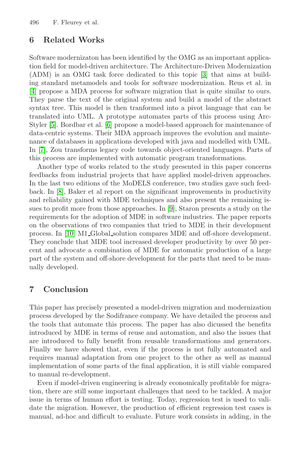## **6 Related Works**

Software modernizaton has been identified by the OMG as an important application field for model-driven architecture. The Architecture-Driven Modernization (ADM) is an OMG task force dedicated to this topic [3] that aims at building standard metamodels and tools for software modernization. Reus et al. in [4] propose a MDA process for software migration that is quite similar to ours. They parse the text of the original system and build a model of the abstract syntax tree. This model is then tranformed into a pivot language that can be translated into UML. A prototype automates parts of this process using Arc-Styler [5]. Bordbar et al. [6] propose a model-based approach for maintenance of data-centric systems. Their MDA approach improves the evolution and maintenance of databases in applications developed with java and modelled with UML. In [7], Zou transforms legacy code towards object-oriented languages. Parts of this process are implemented with automatic program transformations.

Another type of works related to the study presented in this paper concerns feedbacks from industrial projects that have applied model-driven approaches. In the last two editions of the MoDELS conference, two studies gave such feedback. In [8], Baker et al report on the significant improvements in productivity and reliability gained with MDE techniques and also present the remaining issues to profit more from those approaches. In [9], Staron presents a study on the requirements for the adoption of MDE in software industries. The paper reports on the observations of two companies that tried to MDE in their development process. In [10] M1 Global solution compares MDE and off-shore development. They conclude that MDE tool increased developer productivity by over 50 percent and advocate a combination of MDE for automatic production of a large part of the system and off-shore development for the parts that need to be manually developed.

## **7 Conclusion**

This paper has precisely presented a model-driven migration and modernization process developed by the Sodifrance company. We have detailed the process and the tools that automate this process. The paper has also dicussed the benefits introduced by MDE in terms of reuse and automation, and also the issues that are introduced to fully benefit from reusable transformations and generators. Finally we have showed that, even if the process is not fully automated and requires manual adaptation from one project to the other as well as manual implementation of some parts of the final application, it is still viable compared to manual re-development.

Even if model-driven engineering is already economically profitable for migration, there are still some important challenges that need to be tackled. A major issue in terms of human effort is testing. Today, regression test is used to validate the migration. However, the production of efficient regression test cases is manual, ad-hoc and difficult to evaluate. Future work consists in adding, in the